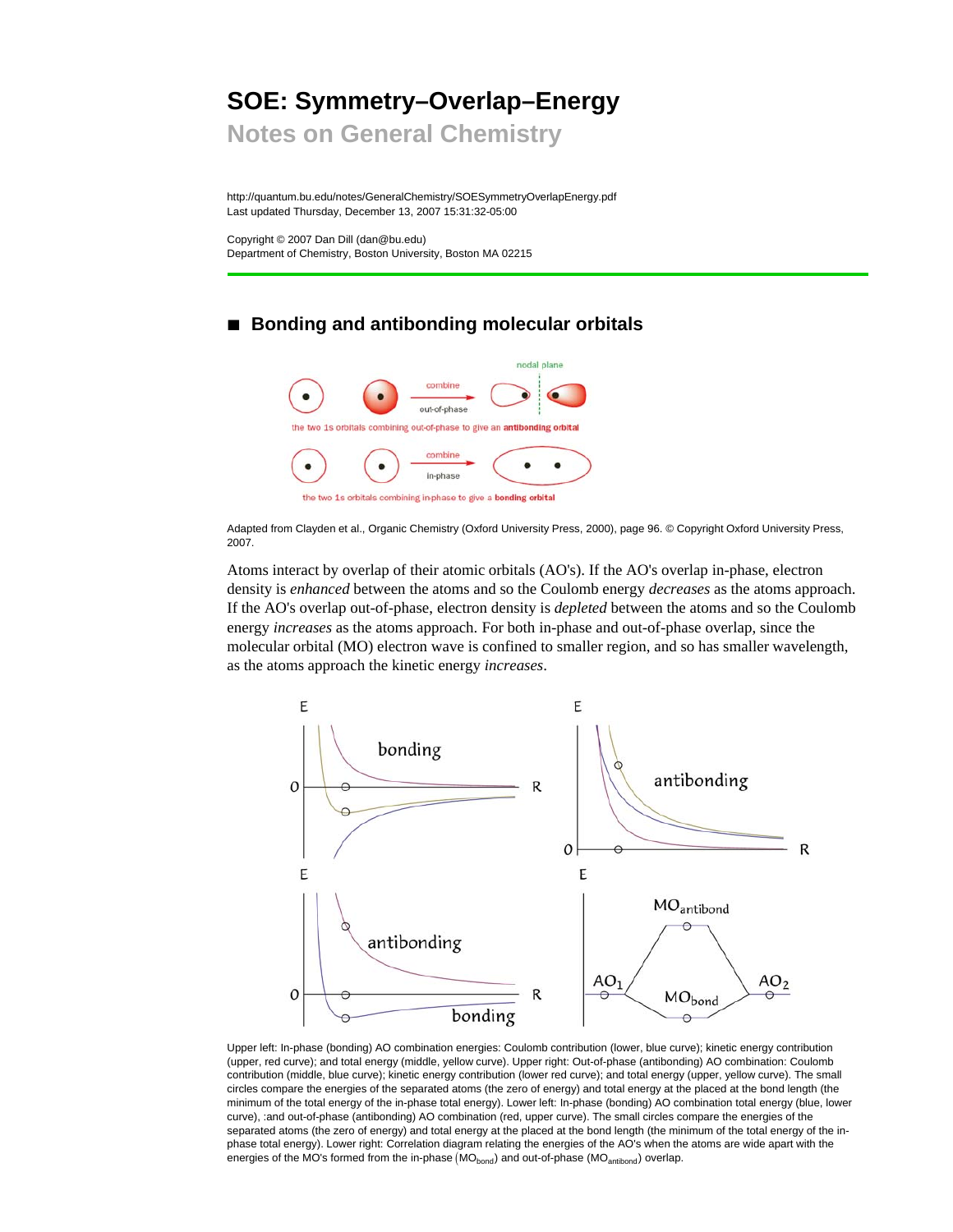# **SOE: Symmetry–Overlap–Energy**

**Notes on General Chemistry**

http://quantum.bu.edu/notes/GeneralChemistry/SOESymmetryOverlapEnergy.pdf Last updated Thursday, December 13, 2007 15:31:32-05:00

Copyright © 2007 Dan Dill (dan@bu.edu) Department of Chemistry, Boston University, Boston MA 02215

## ■ **Bonding and antibonding molecular orbitals**



Adapted from Clayden et al., Organic Chemistry (Oxford University Press, 2000), page 96. © Copyright Oxford University Press, 2007.

Atoms interact by overlap of their atomic orbitals (AO's). If the AO's overlap in-phase, electron density is *enhanced* between the atoms and so the Coulomb energy *decreases* as the atoms approach. If the AO's overlap out-of-phase, electron density is *depleted* between the atoms and so the Coulomb energy *increases* as the atoms approach. For both in-phase and out-of-phase overlap, since the molecular orbital (MO) electron wave is confined to smaller region, and so has smaller wavelength, as the atoms approach the kinetic energy *increases*.



Upper left: In-phase (bonding) AO combination energies: Coulomb contribution (lower, blue curve); kinetic energy contribution (upper, red curve); and total energy (middle, yellow curve). Upper right: Out-of-phase (antibonding) AO combination: Coulomb contribution (middle, blue curve); kinetic energy contribution (lower red curve); and total energy (upper, yellow curve). The small circles compare the energies of the separated atoms (the zero of energy) and total energy at the placed at the bond length (the minimum of the total energy of the in-phase total energy). Lower left: In-phase (bonding) AO combination total energy (blue, lower curve), :and out-of-phase (antibonding) AO combination (red, upper curve). The small circles compare the energies of the separated atoms (the zero of energy) and total energy at the placed at the bond length (the minimum of the total energy of the inphase total energy). Lower right: Correlation diagram relating the energies of the AO's when the atoms are wide apart with the energies of the MO's formed from the in-phase  $(MO<sub>hond</sub>)$  and out-of-phase  $(MO<sub>antibond</sub>)$  overlap.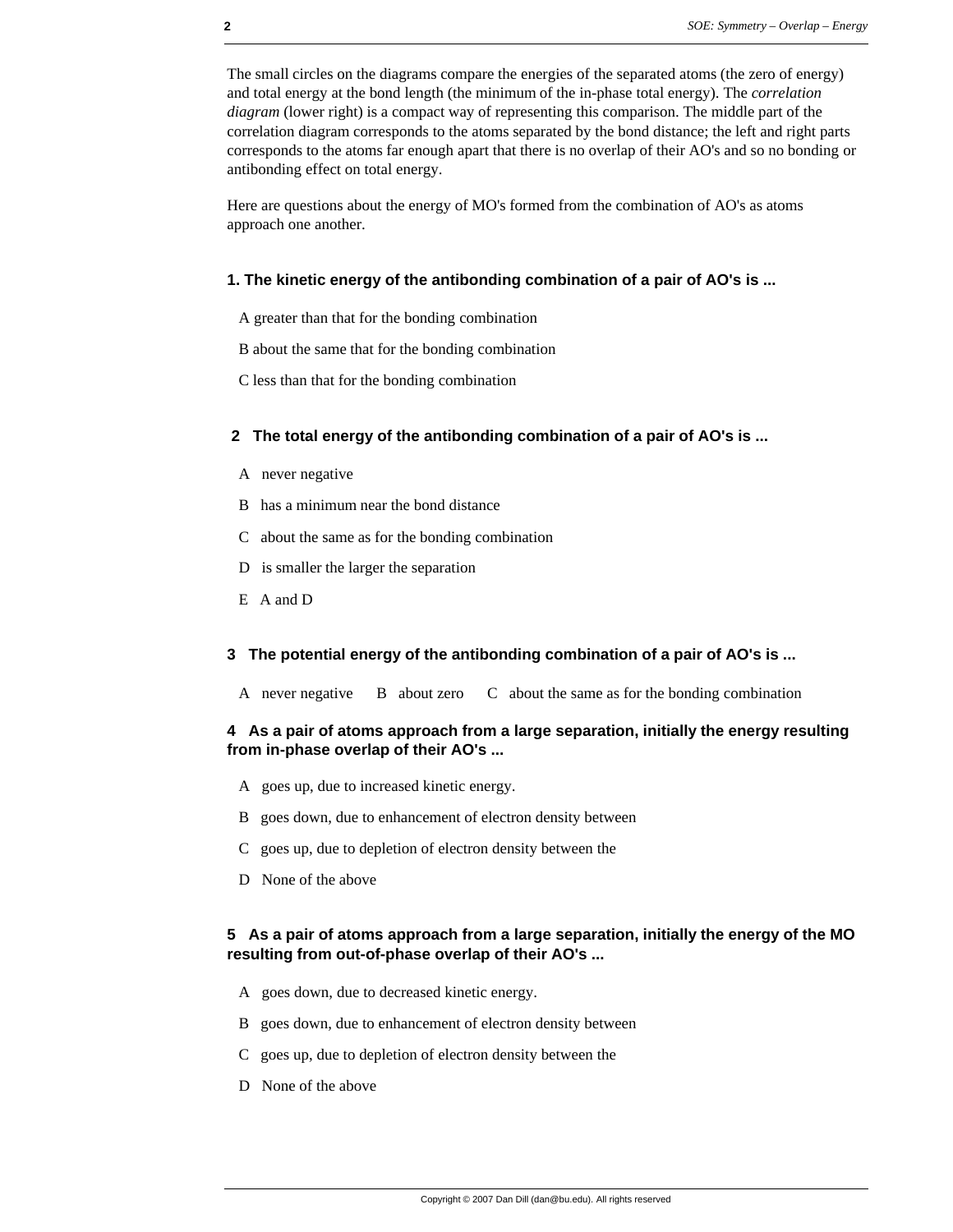The small circles on the diagrams compare the energies of the separated atoms (the zero of energy) and total energy at the bond length (the minimum of the in-phase total energy). The *correlation diagram* (lower right) is a compact way of representing this comparison. The middle part of the correlation diagram corresponds to the atoms separated by the bond distance; the left and right parts corresponds to the atoms far enough apart that there is no overlap of their AO's and so no bonding or antibonding effect on total energy.

Here are questions about the energy of MO's formed from the combination of AO's as atoms approach one another.

#### **1. The kinetic energy of the antibonding combination of a pair of AO's is ...**

- A greater than that for the bonding combination
- B about the same that for the bonding combination
- C less than that for the bonding combination

#### **2 The total energy of the antibonding combination of a pair of AO's is ...**

- A never negative
- B has a minimum near the bond distance
- C about the same as for the bonding combination
- D is smaller the larger the separation
- E A and D

#### **3 The potential energy of the antibonding combination of a pair of AO's is ...**

A never negative B about zero C about the same as for the bonding combination

#### **4 As a pair of atoms approach from a large separation, initially the energy resulting from in-phase overlap of their AO's ...**

- A goes up, due to increased kinetic energy.
- B goes down, due to enhancement of electron density between
- C goes up, due to depletion of electron density between the
- D None of the above

#### **5 As a pair of atoms approach from a large separation, initially the energy of the MO resulting from out-of-phase overlap of their AO's ...**

- A goes down, due to decreased kinetic energy.
- B goes down, due to enhancement of electron density between
- C goes up, due to depletion of electron density between the
- D None of the above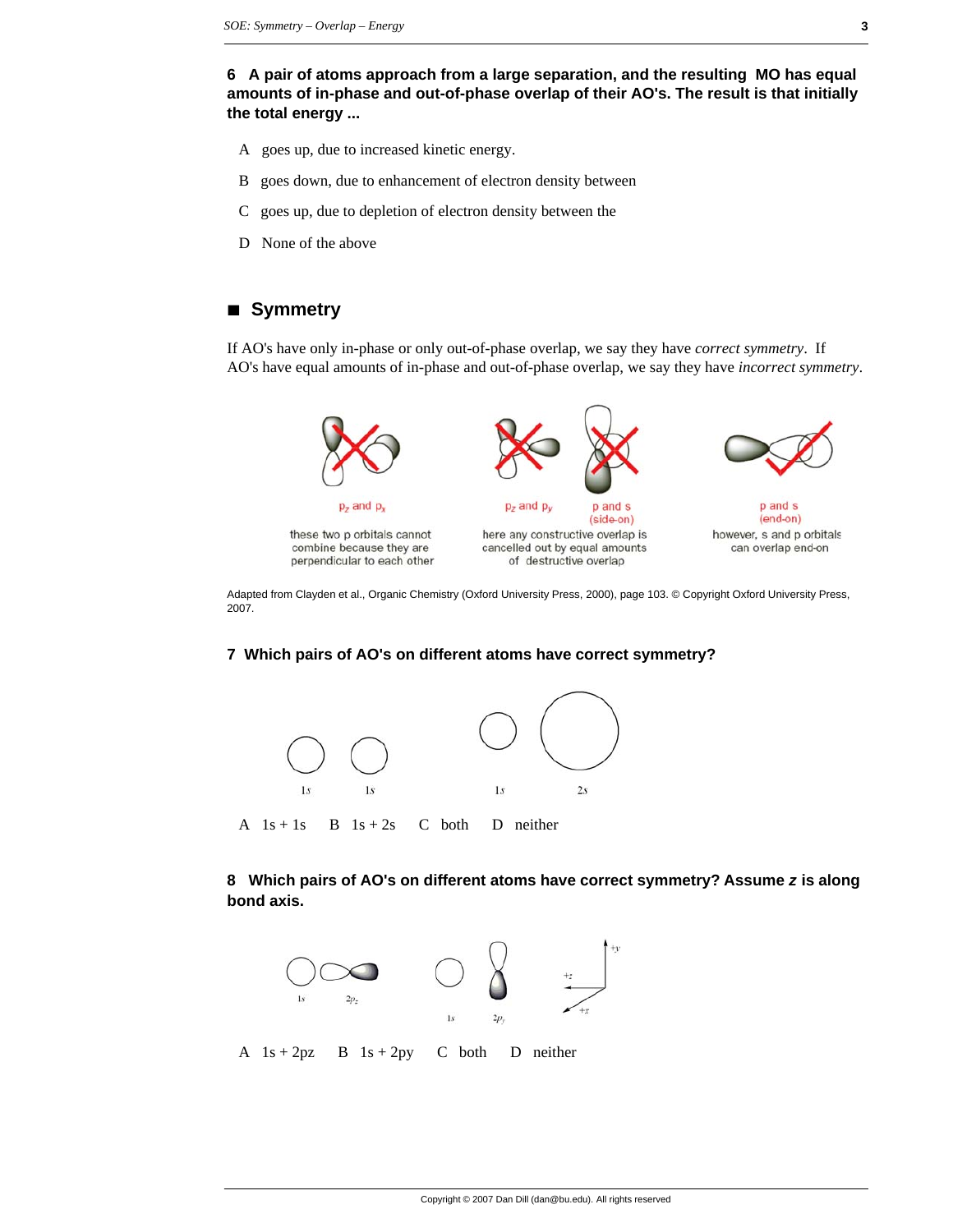**6 A pair of atoms approach from a large separation, and the resulting MO has equal amounts of in-phase and out-of-phase overlap of their AO's. The result is that initially the total energy ...**

- A goes up, due to increased kinetic energy.
- B goes down, due to enhancement of electron density between
- C goes up, due to depletion of electron density between the
- D None of the above

## **à Symmetry**

If AO's have only in-phase or only out-of-phase overlap, we say they have *correct symmetry*. If AO's have equal amounts of in-phase and out-of-phase overlap, we say they have *incorrect symmetry*.



Adapted from Clayden et al., Organic Chemistry (Oxford University Press, 2000), page 103. © Copyright Oxford University Press, 2007.

#### **7 Which pairs of AO's on different atoms have correct symmetry?**



A  $1s + 1s$  B  $1s + 2s$  C both D neither

**8 Which pairs of AO's on different atoms have correct symmetry? Assume** *z* **is along bond axis.**

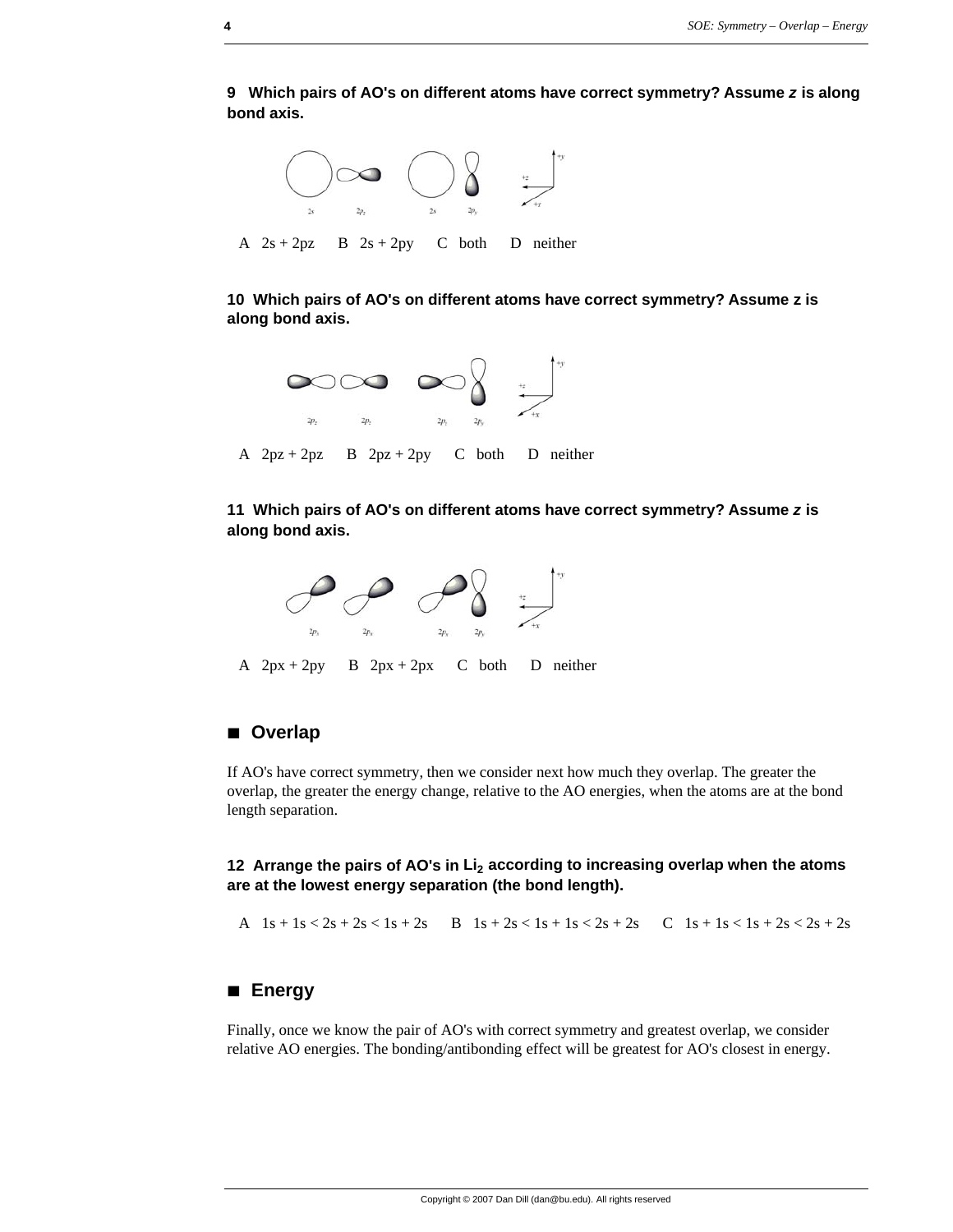**9 Which pairs of AO's on different atoms have correct symmetry? Assume** *z* **is along bond axis.**



**10 Which pairs of AO's on different atoms have correct symmetry? Assume z is along bond axis.**



A  $2pz + 2pz$  B  $2pz + 2py$  C both D neither

**11 Which pairs of AO's on different atoms have correct symmetry? Assume** *z* **is along bond axis.**



A  $2px + 2py$  B  $2px + 2px$  C both D neither

## **à Overlap**

If AO's have correct symmetry, then we consider next how much they overlap. The greater the overlap, the greater the energy change, relative to the AO energies, when the atoms are at the bond length separation.

**12 Arrange the pairs of AO's in Li<sub>2</sub> according to increasing overlap when the atoms are at the lowest energy separation (the bond length).**

A  $1s + 1s < 2s + 2s < 1s + 2s$  B  $1s + 2s < 1s + 1s < 2s + 2s$  C  $1s + 1s < 1s + 2s < 2s + 2s$ 

## **à Energy**

Finally, once we know the pair of AO's with correct symmetry and greatest overlap, we consider relative AO energies. The bonding/antibonding effect will be greatest for AO's closest in energy.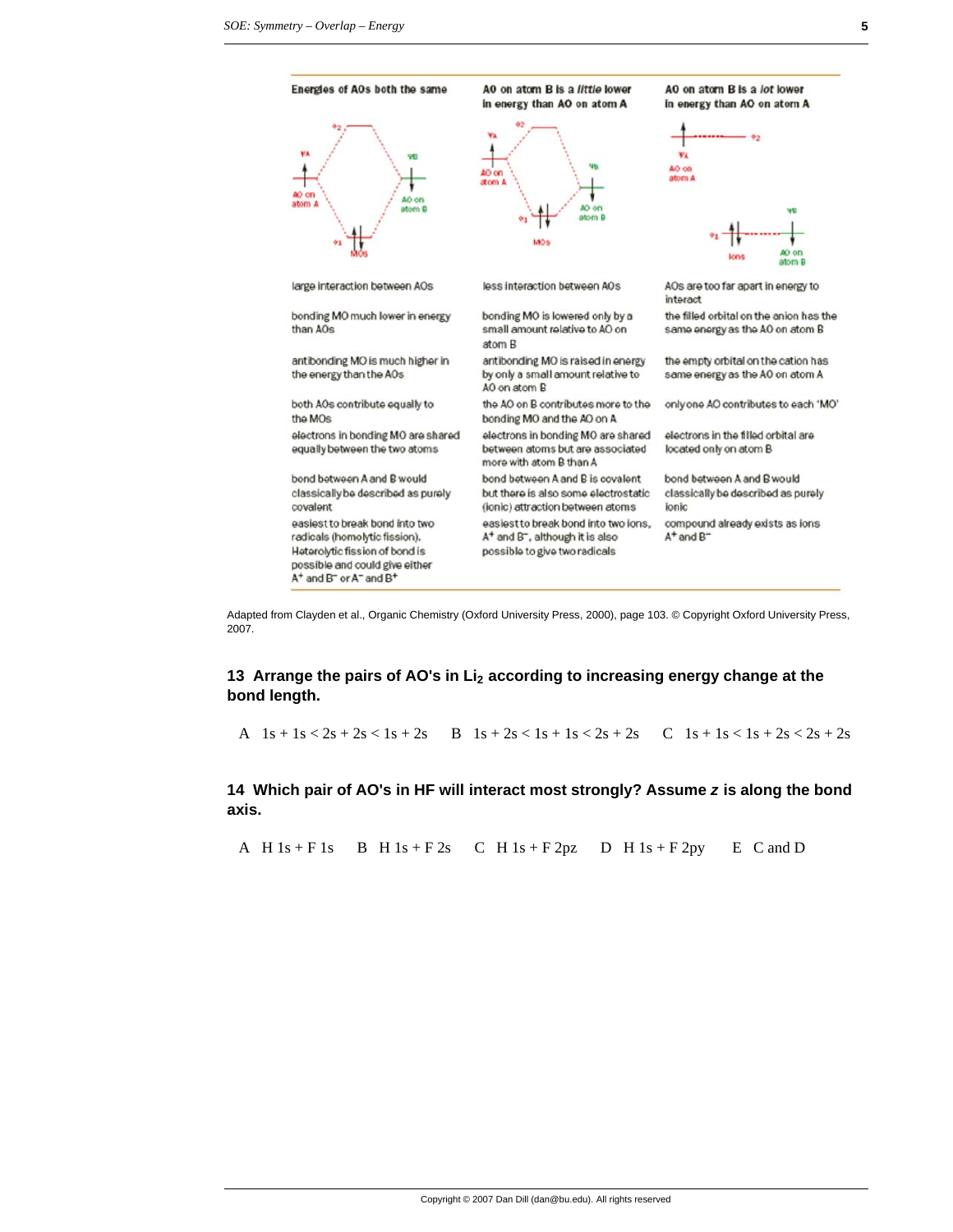

Adapted from Clayden et al., Organic Chemistry (Oxford University Press, 2000), page 103. © Copyright Oxford University Press, 2007.

## **13 Arrange the pairs of AO's in Li<sub>2</sub> according to increasing energy change at the bond length.**

A  $1s + 1s < 2s + 2s < 1s + 2s$  B  $1s + 2s < 1s + 1s < 2s + 2s$  C  $1s + 1s < 1s + 2s < 2s + 2s$ 

**14 Which pair of AO's in HF will interact most strongly? Assume** *z* **is along the bond axis.**

A H  $1s + F 1s$  B H  $1s + F 2s$  C H  $1s + F 2pz$  D H  $1s + F 2py$  E C and D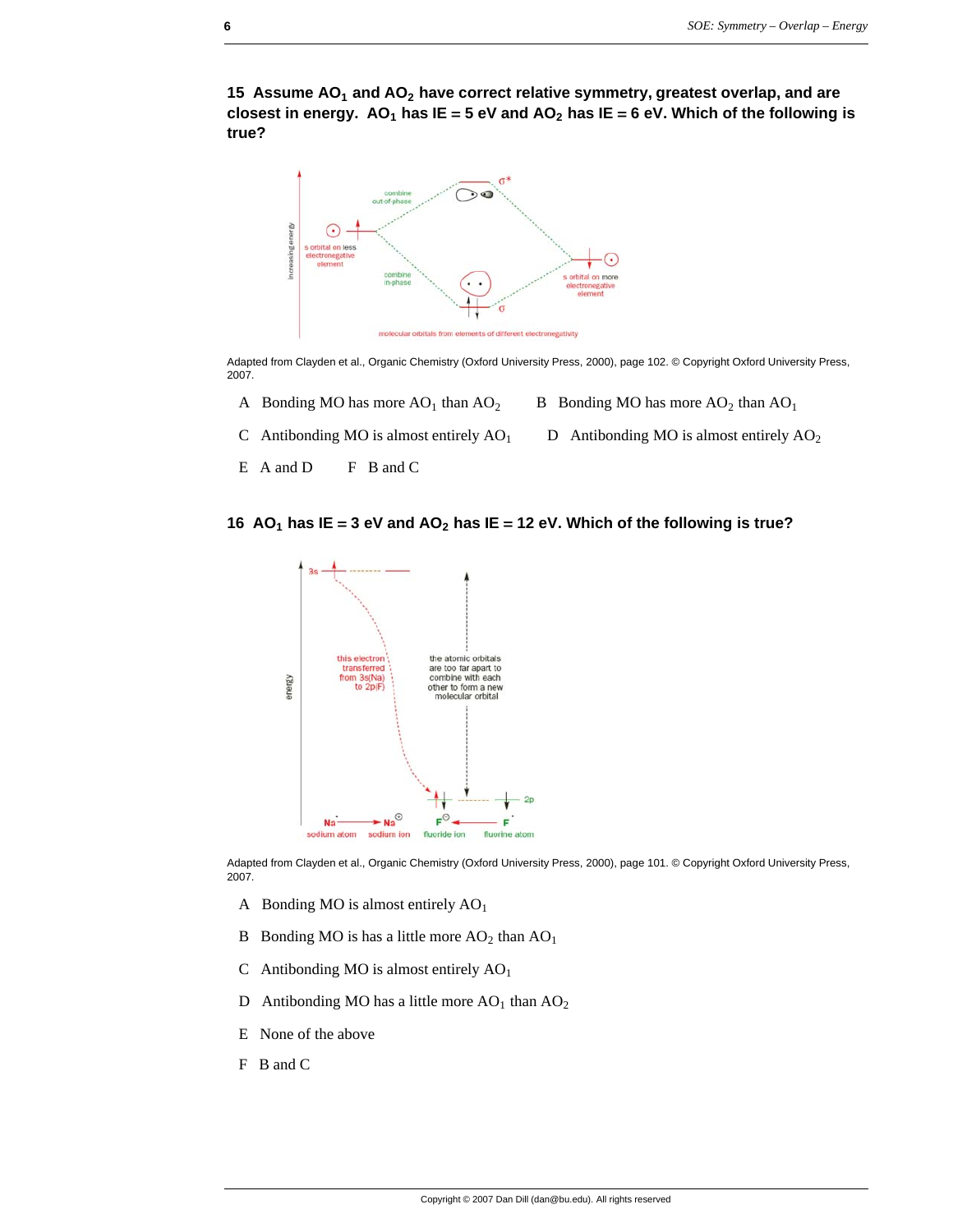15 Assume AO<sub>1</sub> and AO<sub>2</sub> have correct relative symmetry, greatest overlap, and are closest in energy.  $AO_1$  has  $IE = 5$  eV and  $AO_2$  has  $IE = 6$  eV. Which of the following is **true?**



Adapted from Clayden et al., Organic Chemistry (Oxford University Press, 2000), page 102. © Copyright Oxford University Press, 2007.

- A Bonding MO has more  $AO_1$  than  $AO_2$  B Bonding MO has more  $AO_2$  than  $AO_1$
- C Antibonding MO is almost entirely  $AO<sub>1</sub>$  D Antibonding MO is almost entirely  $AO<sub>2</sub>$
- E A and D F B and C





Adapted from Clayden et al., Organic Chemistry (Oxford University Press, 2000), page 101. © Copyright Oxford University Press, 2007.

- A Bonding MO is almost entirely  $AO<sub>1</sub>$
- B Bonding MO is has a little more  $AO_2$  than  $AO_1$
- C Antibonding MO is almost entirely  $AO<sub>1</sub>$
- D Antibonding MO has a little more  $AO<sub>1</sub>$  than  $AO<sub>2</sub>$
- E None of the above
- F B and C